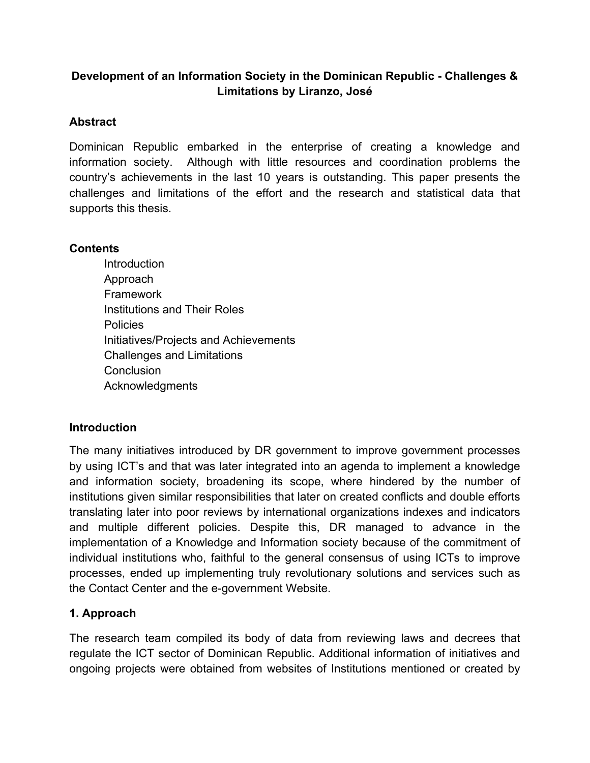# **Development of an Information Society in the Dominican Republic Challenges & Limitations by Liranzo, José**

## **Abstract**

Dominican Republic embarked in the enterprise of creating a knowledge and information society. Although with little resources and coordination problems the country's achievements in the last 10 years is outstanding. This paper presents the challenges and limitations of the effort and the research and statistical data that supports this thesis.

## **Contents**

**Introduction** Approach Framework Institutions and Their Roles Policies Initiatives/Projects and Achievements Challenges and Limitations **Conclusion** Acknowledgments

## **Introduction**

The many initiatives introduced by DR government to improve government processes by using ICT's and that was later integrated into an agenda to implement a knowledge and information society, broadening its scope, where hindered by the number of institutions given similar responsibilities that later on created conflicts and double efforts translating later into poor reviews by international organizations indexes and indicators and multiple different policies. Despite this, DR managed to advance in the implementation of a Knowledge and Information society because of the commitment of individual institutions who, faithful to the general consensus of using ICTs to improve processes, ended up implementing truly revolutionary solutions and services such as the Contact Center and the e-government Website.

# **1. Approach**

The research team compiled its body of data from reviewing laws and decrees that regulate the ICT sector of Dominican Republic. Additional information of initiatives and ongoing projects were obtained from websites of Institutions mentioned or created by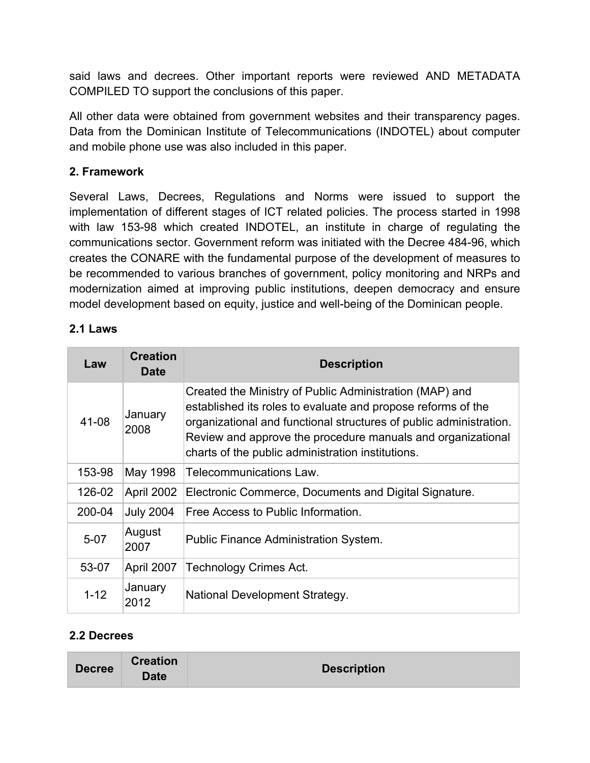said laws and decrees. Other important reports were reviewed AND METADATA COMPILED TO support the conclusions of this paper.

All other data were obtained from government websites and their transparency pages. Data from the Dominican Institute of Telecommunications (INDOTEL) about computer and mobile phone use was also included in this paper.

## **2. Framework**

Several Laws, Decrees, Regulations and Norms were issued to support the implementation of different stages of ICT related policies. The process started in 1998 with law 153-98 which created INDOTEL, an institute in charge of regulating the communications sector. Government reform was initiated with the Decree 48496, which creates the CONARE with the fundamental purpose of the development of measures to be recommended to various branches of government, policy monitoring and NRPs and modernization aimed at improving public institutions, deepen democracy and ensure model development based on equity, justice and well-being of the Dominican people.

### **2.1 Laws**

| Law      | <b>Creation</b><br>Date | <b>Description</b>                                                                                                                                                                                                                                                                                                |
|----------|-------------------------|-------------------------------------------------------------------------------------------------------------------------------------------------------------------------------------------------------------------------------------------------------------------------------------------------------------------|
| 41-08    | January<br>2008         | Created the Ministry of Public Administration (MAP) and<br>established its roles to evaluate and propose reforms of the<br>organizational and functional structures of public administration.<br>Review and approve the procedure manuals and organizational<br>charts of the public administration institutions. |
| 153-98   | May 1998                | Telecommunications Law.                                                                                                                                                                                                                                                                                           |
| 126-02   | April 2002              | Electronic Commerce, Documents and Digital Signature.                                                                                                                                                                                                                                                             |
| 200-04   | <b>July 2004</b>        | Free Access to Public Information.                                                                                                                                                                                                                                                                                |
| $5-07$   | August<br>2007          | Public Finance Administration System.                                                                                                                                                                                                                                                                             |
| 53-07    | April 2007              | <b>Technology Crimes Act.</b>                                                                                                                                                                                                                                                                                     |
| $1 - 12$ | January<br>2012         | National Development Strategy.                                                                                                                                                                                                                                                                                    |

## **2.2 Decrees**

| <b>Decree</b> | <b>Creation</b> | <b>Description</b> |
|---------------|-----------------|--------------------|
|               | <b>Date</b>     |                    |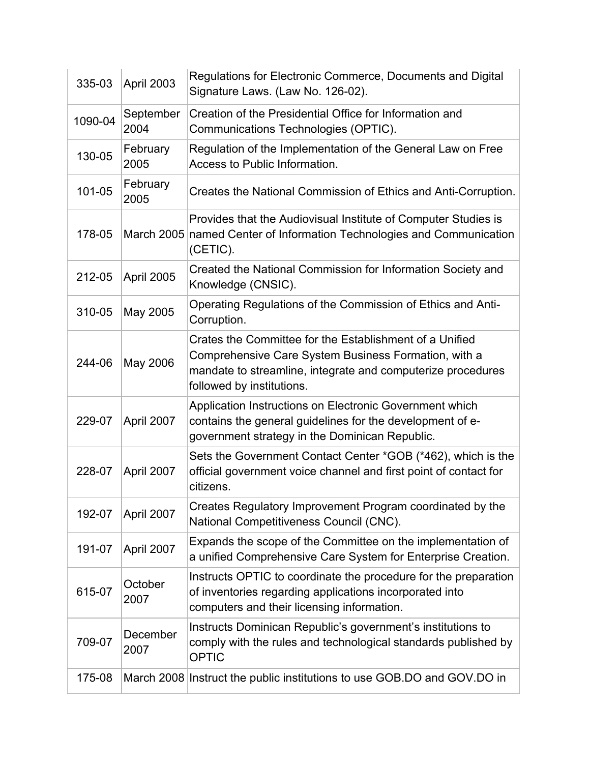| 335-03  | April 2003        | Regulations for Electronic Commerce, Documents and Digital<br>Signature Laws. (Law No. 126-02).                                                                                                             |
|---------|-------------------|-------------------------------------------------------------------------------------------------------------------------------------------------------------------------------------------------------------|
| 1090-04 | September<br>2004 | Creation of the Presidential Office for Information and<br>Communications Technologies (OPTIC).                                                                                                             |
| 130-05  | February<br>2005  | Regulation of the Implementation of the General Law on Free<br>Access to Public Information.                                                                                                                |
| 101-05  | February<br>2005  | Creates the National Commission of Ethics and Anti-Corruption.                                                                                                                                              |
| 178-05  |                   | Provides that the Audiovisual Institute of Computer Studies is<br>March 2005 named Center of Information Technologies and Communication<br>(CETIC).                                                         |
| 212-05  | April 2005        | Created the National Commission for Information Society and<br>Knowledge (CNSIC).                                                                                                                           |
| 310-05  | May 2005          | Operating Regulations of the Commission of Ethics and Anti-<br>Corruption.                                                                                                                                  |
| 244-06  | May 2006          | Crates the Committee for the Establishment of a Unified<br>Comprehensive Care System Business Formation, with a<br>mandate to streamline, integrate and computerize procedures<br>followed by institutions. |
| 229-07  | April 2007        | Application Instructions on Electronic Government which<br>contains the general guidelines for the development of e-<br>government strategy in the Dominican Republic.                                      |
| 228-07  | April 2007        | Sets the Government Contact Center *GOB (*462), which is the<br>official government voice channel and first point of contact for<br>citizens.                                                               |
| 192-07  | April 2007        | Creates Regulatory Improvement Program coordinated by the<br>National Competitiveness Council (CNC).                                                                                                        |
| 191-07  | April 2007        | Expands the scope of the Committee on the implementation of<br>a unified Comprehensive Care System for Enterprise Creation.                                                                                 |
| 615-07  | October<br>2007   | Instructs OPTIC to coordinate the procedure for the preparation<br>of inventories regarding applications incorporated into<br>computers and their licensing information.                                    |
| 709-07  | December<br>2007  | Instructs Dominican Republic's government's institutions to<br>comply with the rules and technological standards published by<br><b>OPTIC</b>                                                               |
| 175-08  |                   | March 2008 Instruct the public institutions to use GOB.DO and GOV.DO in                                                                                                                                     |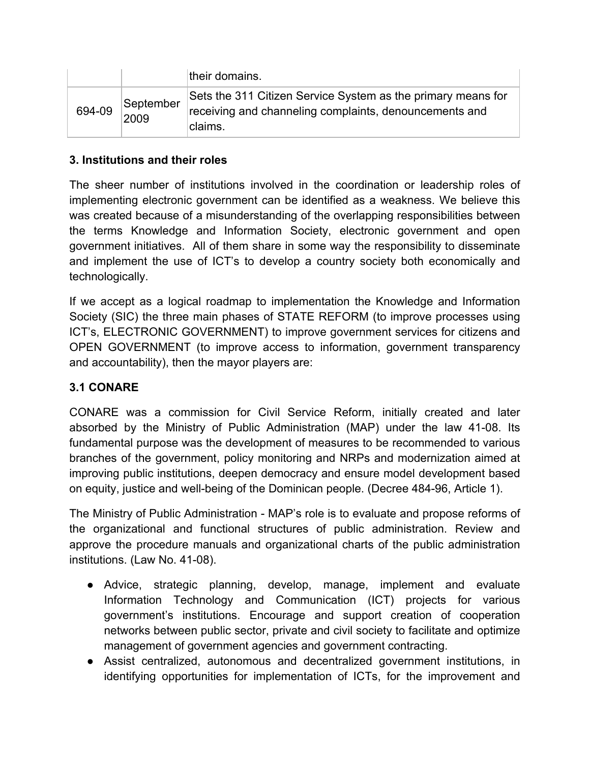|        |                   | their domains.                                                                                                                    |
|--------|-------------------|-----------------------------------------------------------------------------------------------------------------------------------|
| 694-09 | September<br>2009 | Sets the 311 Citizen Service System as the primary means for<br>receiving and channeling complaints, denouncements and<br>claims. |

## **3. Institutions and their roles**

The sheer number of institutions involved in the coordination or leadership roles of implementing electronic government can be identified as a weakness. We believe this was created because of a misunderstanding of the overlapping responsibilities between the terms Knowledge and Information Society, electronic government and open government initiatives. All of them share in some way the responsibility to disseminate and implement the use of ICT's to develop a country society both economically and technologically.

If we accept as a logical roadmap to implementation the Knowledge and Information Society (SIC) the three main phases of STATE REFORM (to improve processes using ICT's, ELECTRONIC GOVERNMENT) to improve government services for citizens and OPEN GOVERNMENT (to improve access to information, government transparency and accountability), then the mayor players are:

## **3.1 CONARE**

CONARE was a commission for Civil Service Reform, initially created and later absorbed by the Ministry of Public Administration (MAP) under the law 4108. Its fundamental purpose was the development of measures to be recommended to various branches of the government, policy monitoring and NRPs and modernization aimed at improving public institutions, deepen democracy and ensure model development based on equity, justice and well-being of the Dominican people. (Decree 484-96, Article 1).

The Ministry of Public Administration MAP's role is to evaluate and propose reforms of the organizational and functional structures of public administration. Review and approve the procedure manuals and organizational charts of the public administration institutions. (Law No. 41-08).

- Advice, strategic planning, develop, manage, implement and evaluate Information Technology and Communication (ICT) projects for various government's institutions. Encourage and support creation of cooperation networks between public sector, private and civil society to facilitate and optimize management of government agencies and government contracting.
- Assist centralized, autonomous and decentralized government institutions, in identifying opportunities for implementation of ICTs, for the improvement and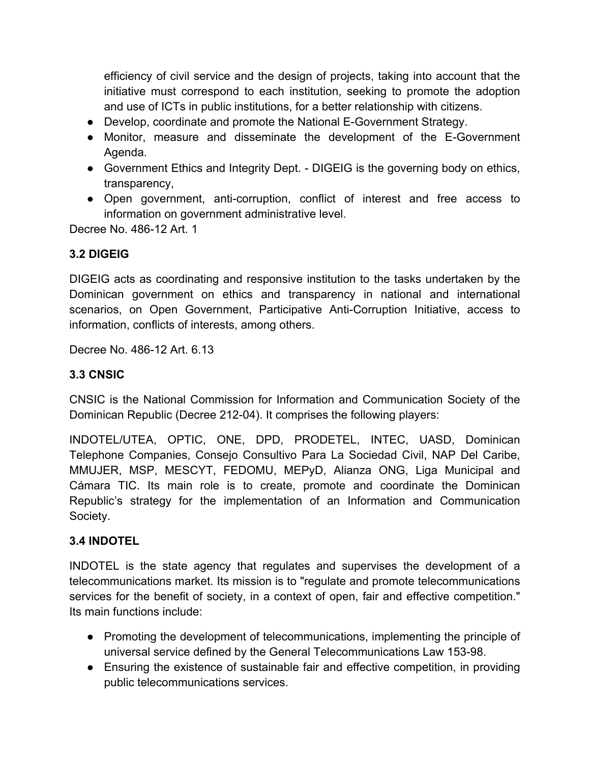efficiency of civil service and the design of projects, taking into account that the initiative must correspond to each institution, seeking to promote the adoption and use of ICTs in public institutions, for a better relationship with citizens.

- Develop, coordinate and promote the National E-Government Strategy.
- Monitor, measure and disseminate the development of the E-Government Agenda.
- Government Ethics and Integrity Dept. DIGEIG is the governing body on ethics, transparency,
- Open government, anti-corruption, conflict of interest and free access to information on government administrative level.

Decree No. 486-12 Art. 1

## **3.2 DIGEIG**

DIGEIG acts as coordinating and responsive institution to the tasks undertaken by the Dominican government on ethics and transparency in national and international scenarios, on Open Government, Participative Anti-Corruption Initiative, access to information, conflicts of interests, among others.

Decree No. 486-12 Art. 6.13

## **3.3 CNSIC**

CNSIC is the National Commission for Information and Communication Society of the Dominican Republic (Decree 212-04). It comprises the following players:

INDOTEL/UTEA, OPTIC, ONE, DPD, PRODETEL, INTEC, UASD, Dominican Telephone Companies, Consejo Consultivo Para La Sociedad Civil, NAP Del Caribe, MMUJER, MSP, MESCYT, FEDOMU, MEPyD, Alianza ONG, Liga Municipal and Cámara TIC. Its main role is to create, promote and coordinate the Dominican Republic's strategy for the implementation of an Information and Communication Society.

## **3.4 INDOTEL**

INDOTEL is the state agency that regulates and supervises the development of a telecommunications market. Its mission is to "regulate and promote telecommunications services for the benefit of society, in a context of open, fair and effective competition." Its main functions include:

- Promoting the development of telecommunications, implementing the principle of universal service defined by the General Telecommunications Law 153-98.
- Ensuring the existence of sustainable fair and effective competition, in providing public telecommunications services.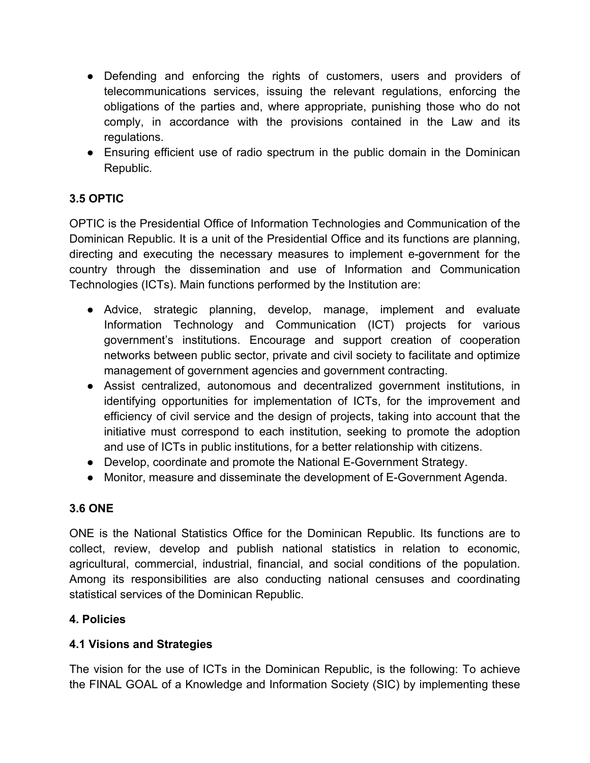- Defending and enforcing the rights of customers, users and providers of telecommunications services, issuing the relevant regulations, enforcing the obligations of the parties and, where appropriate, punishing those who do not comply, in accordance with the provisions contained in the Law and its regulations.
- Ensuring efficient use of radio spectrum in the public domain in the Dominican Republic.

# **3.5 OPTIC**

OPTIC is the Presidential Office of Information Technologies and Communication of the Dominican Republic. It is a unit of the Presidential Office and its functions are planning, directing and executing the necessary measures to implement e-government for the country through the dissemination and use of Information and Communication Technologies (ICTs). Main functions performed by the Institution are:

- Advice, strategic planning, develop, manage, implement and evaluate Information Technology and Communication (ICT) projects for various government's institutions. Encourage and support creation of cooperation networks between public sector, private and civil society to facilitate and optimize management of government agencies and government contracting.
- Assist centralized, autonomous and decentralized government institutions, in identifying opportunities for implementation of ICTs, for the improvement and efficiency of civil service and the design of projects, taking into account that the initiative must correspond to each institution, seeking to promote the adoption and use of ICTs in public institutions, for a better relationship with citizens.
- Develop, coordinate and promote the National E-Government Strategy.
- Monitor, measure and disseminate the development of E-Government Agenda.

# **3.6 ONE**

ONE is the National Statistics Office for the Dominican Republic. Its functions are to collect, review, develop and publish national statistics in relation to economic, agricultural, commercial, industrial, financial, and social conditions of the population. Among its responsibilities are also conducting national censuses and coordinating statistical services of the Dominican Republic.

# **4. Policies**

# **4.1 Visions and Strategies**

The vision for the use of ICTs in the Dominican Republic, is the following: To achieve the FINAL GOAL of a Knowledge and Information Society (SIC) by implementing these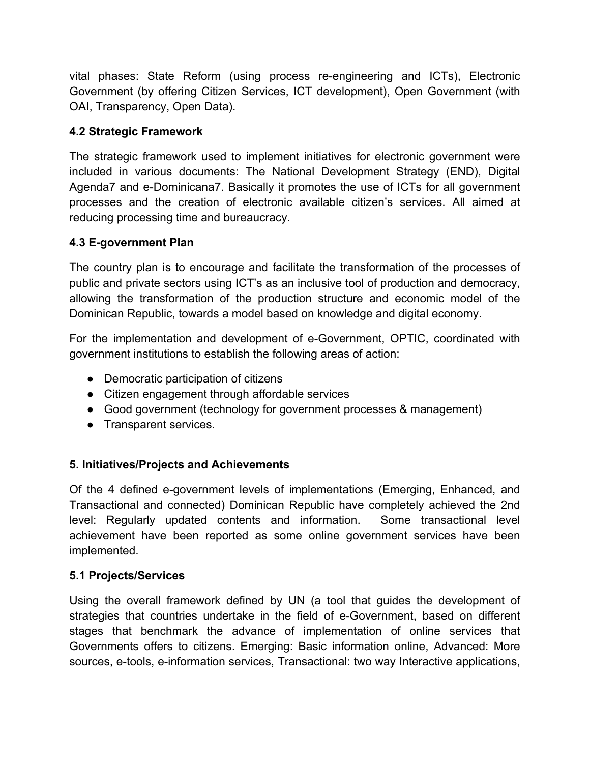vital phases: State Reform (using process re-engineering and ICTs), Electronic Government (by offering Citizen Services, ICT development), Open Government (with OAI, Transparency, Open Data).

## **4.2 Strategic Framework**

The strategic framework used to implement initiatives for electronic government were included in various documents: The National Development Strategy (END), Digital Agenda7 and e-Dominicana7. Basically it promotes the use of ICTs for all government processes and the creation of electronic available citizen's services. All aimed at reducing processing time and bureaucracy.

## **4.3 Egovernment Plan**

The country plan is to encourage and facilitate the transformation of the processes of public and private sectors using ICT's as an inclusive tool of production and democracy, allowing the transformation of the production structure and economic model of the Dominican Republic, towards a model based on knowledge and digital economy.

For the implementation and development of e-Government, OPTIC, coordinated with government institutions to establish the following areas of action:

- Democratic participation of citizens
- Citizen engagement through affordable services
- Good government (technology for government processes & management)
- Transparent services.

## **5. Initiatives/Projects and Achievements**

Of the 4 defined e-government levels of implementations (Emerging, Enhanced, and Transactional and connected) Dominican Republic have completely achieved the 2nd level: Regularly updated contents and information. Some transactional level achievement have been reported as some online government services have been implemented.

## **5.1 Projects/Services**

Using the overall framework defined by UN (a tool that guides the development of strategies that countries undertake in the field of e-Government, based on different stages that benchmark the advance of implementation of online services that Governments offers to citizens. Emerging: Basic information online, Advanced: More sources, e-tools, e-information services, Transactional: two way Interactive applications,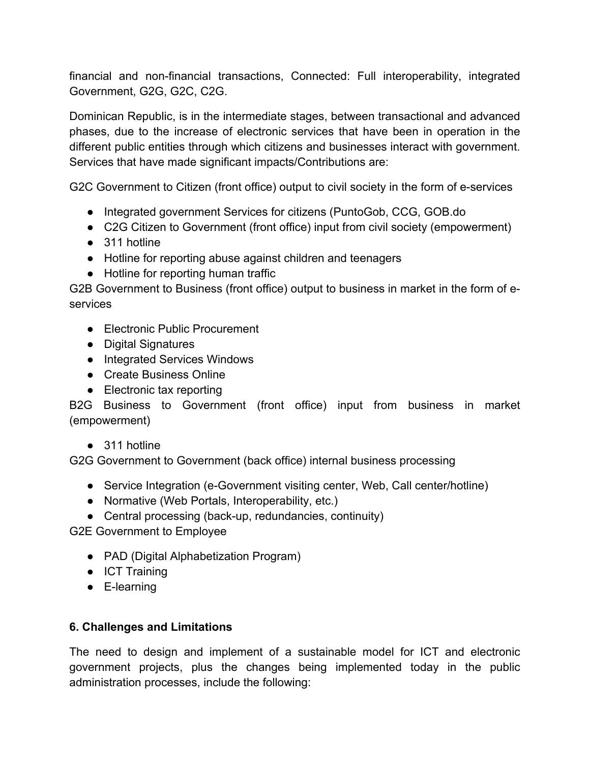financial and non-financial transactions, Connected: Full interoperability, integrated Government, G2G, G2C, C2G.

Dominican Republic, is in the intermediate stages, between transactional and advanced phases, due to the increase of electronic services that have been in operation in the different public entities through which citizens and businesses interact with government. Services that have made significant impacts/Contributions are:

G2C Government to Citizen (front office) output to civil society in the form of e-services

- Integrated government Services for citizens (PuntoGob, CCG, GOB.do
- C2G Citizen to Government (front office) input from civil society (empowerment)
- 311 hotline
- Hotline for reporting abuse against children and teenagers
- Hotline for reporting human traffic

G2B Government to Business (front office) output to business in market in the form of eservices

- Electronic Public Procurement
- Digital Signatures
- Integrated Services Windows
- Create Business Online
- Electronic tax reporting

B2G Business to Government (front office) input from business in market (empowerment)

● 311 hotline

G2G Government to Government (back office) internal business processing

- Service Integration (e-Government visiting center, Web, Call center/hotline)
- Normative (Web Portals, Interoperability, etc.)
- Central processing (back-up, redundancies, continuity)

G2E Government to Employee

- PAD (Digital Alphabetization Program)
- ICT Training
- E-learning

## **6. Challenges and Limitations**

The need to design and implement of a sustainable model for ICT and electronic government projects, plus the changes being implemented today in the public administration processes, include the following: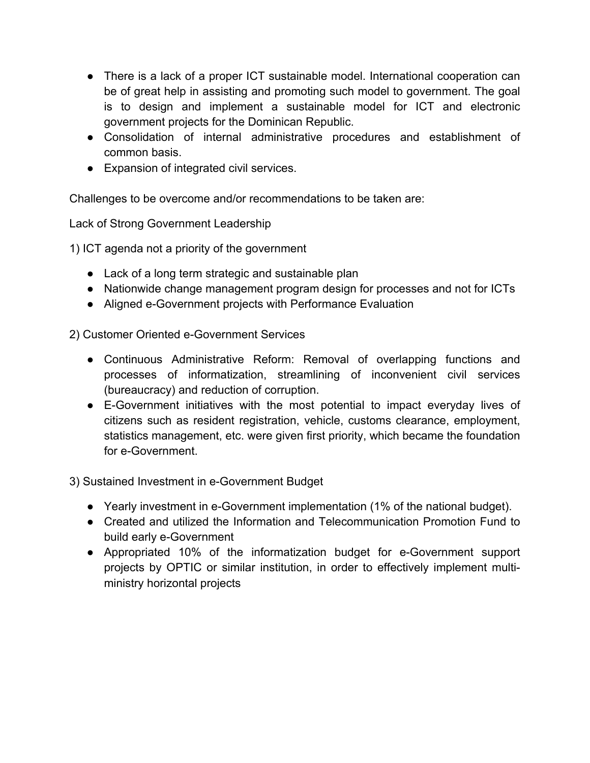- There is a lack of a proper ICT sustainable model. International cooperation can be of great help in assisting and promoting such model to government. The goal is to design and implement a sustainable model for ICT and electronic government projects for the Dominican Republic.
- Consolidation of internal administrative procedures and establishment of common basis.
- Expansion of integrated civil services.

Challenges to be overcome and/or recommendations to be taken are:

Lack of Strong Government Leadership

1) ICT agenda not a priority of the government

- Lack of a long term strategic and sustainable plan
- Nationwide change management program design for processes and not for ICTs
- Aligned e-Government projects with Performance Evaluation

2) Customer Oriented e-Government Services

- Continuous Administrative Reform: Removal of overlapping functions and processes of informatization, streamlining of inconvenient civil services (bureaucracy) and reduction of corruption.
- EGovernment initiatives with the most potential to impact everyday lives of citizens such as resident registration, vehicle, customs clearance, employment, statistics management, etc. were given first priority, which became the foundation for e-Government.

3) Sustained Investment in e-Government Budget

- Yearly investment in e-Government implementation (1% of the national budget).
- Created and utilized the Information and Telecommunication Promotion Fund to build early e-Government
- Appropriated 10% of the informatization budget for e-Government support projects by OPTIC or similar institution, in order to effectively implement multiministry horizontal projects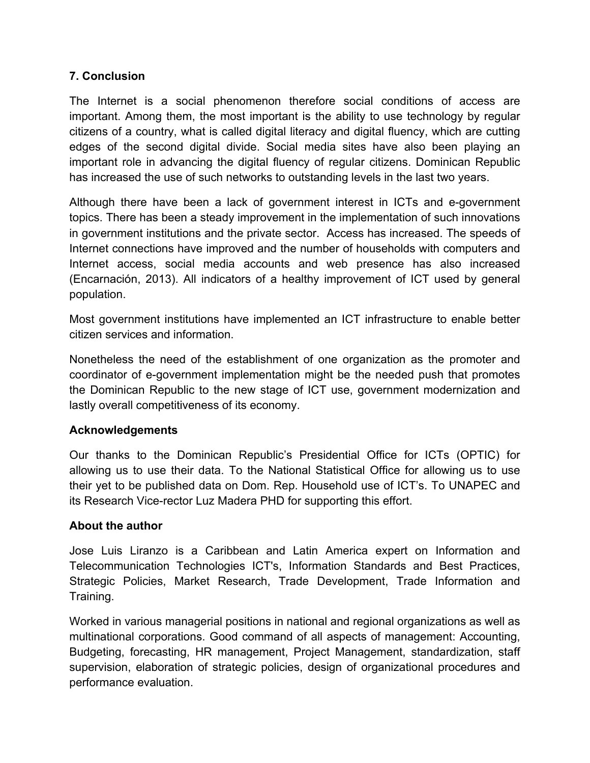## **7. Conclusion**

The Internet is a social phenomenon therefore social conditions of access are important. Among them, the most important is the ability to use technology by regular citizens of a country, what is called digital literacy and digital fluency, which are cutting edges of the second digital divide. Social media sites have also been playing an important role in advancing the digital fluency of regular citizens. Dominican Republic has increased the use of such networks to outstanding levels in the last two years.

Although there have been a lack of government interest in ICTs and e-government topics. There has been a steady improvement in the implementation of such innovations in government institutions and the private sector. Access has increased. The speeds of Internet connections have improved and the number of households with computers and Internet access, social media accounts and web presence has also increased (Encarnación, 2013). All indicators of a healthy improvement of ICT used by general population.

Most government institutions have implemented an ICT infrastructure to enable better citizen services and information.

Nonetheless the need of the establishment of one organization as the promoter and coordinator of e-government implementation might be the needed push that promotes the Dominican Republic to the new stage of ICT use, government modernization and lastly overall competitiveness of its economy.

### **Acknowledgements**

Our thanks to the Dominican Republic's Presidential Office for ICTs (OPTIC) for allowing us to use their data. To the National Statistical Office for allowing us to use their yet to be published data on Dom. Rep. Household use of ICT's. To UNAPEC and its Research Vice-rector Luz Madera PHD for supporting this effort.

### **About the author**

Jose Luis Liranzo is a Caribbean and Latin America expert on Information and Telecommunication Technologies ICT's, Information Standards and Best Practices, Strategic Policies, Market Research, Trade Development, Trade Information and Training.

Worked in various managerial positions in national and regional organizations as well as multinational corporations. Good command of all aspects of management: Accounting, Budgeting, forecasting, HR management, Project Management, standardization, staff supervision, elaboration of strategic policies, design of organizational procedures and performance evaluation.